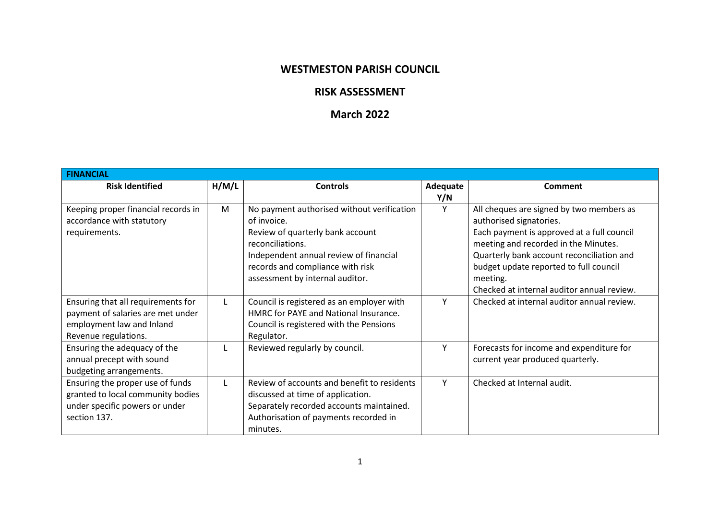## **WESTMESTON PARISH COUNCIL**

## **RISK ASSESSMENT**

## **March 2022**

| <b>FINANCIAL</b>                                                                                                             |              |                                                                                                                                                                                                                                    |                 |                                                                                                                                                                                                                                                                                                            |
|------------------------------------------------------------------------------------------------------------------------------|--------------|------------------------------------------------------------------------------------------------------------------------------------------------------------------------------------------------------------------------------------|-----------------|------------------------------------------------------------------------------------------------------------------------------------------------------------------------------------------------------------------------------------------------------------------------------------------------------------|
| <b>Risk Identified</b>                                                                                                       | H/M/L        | <b>Controls</b>                                                                                                                                                                                                                    | Adequate<br>Y/N | Comment                                                                                                                                                                                                                                                                                                    |
| Keeping proper financial records in<br>accordance with statutory<br>requirements.                                            | M            | No payment authorised without verification<br>of invoice.<br>Review of quarterly bank account<br>reconciliations.<br>Independent annual review of financial<br>records and compliance with risk<br>assessment by internal auditor. |                 | All cheques are signed by two members as<br>authorised signatories.<br>Each payment is approved at a full council<br>meeting and recorded in the Minutes.<br>Quarterly bank account reconciliation and<br>budget update reported to full council<br>meeting.<br>Checked at internal auditor annual review. |
| Ensuring that all requirements for<br>payment of salaries are met under<br>employment law and Inland<br>Revenue regulations. | L            | Council is registered as an employer with<br>HMRC for PAYE and National Insurance.<br>Council is registered with the Pensions<br>Regulator.                                                                                        | Y               | Checked at internal auditor annual review.                                                                                                                                                                                                                                                                 |
| Ensuring the adequacy of the<br>annual precept with sound<br>budgeting arrangements.                                         | $\mathbf{L}$ | Reviewed regularly by council.                                                                                                                                                                                                     | ٧               | Forecasts for income and expenditure for<br>current year produced quarterly.                                                                                                                                                                                                                               |
| Ensuring the proper use of funds<br>granted to local community bodies<br>under specific powers or under<br>section 137.      | L            | Review of accounts and benefit to residents<br>discussed at time of application.<br>Separately recorded accounts maintained.<br>Authorisation of payments recorded in<br>minutes.                                                  | Y               | Checked at Internal audit.                                                                                                                                                                                                                                                                                 |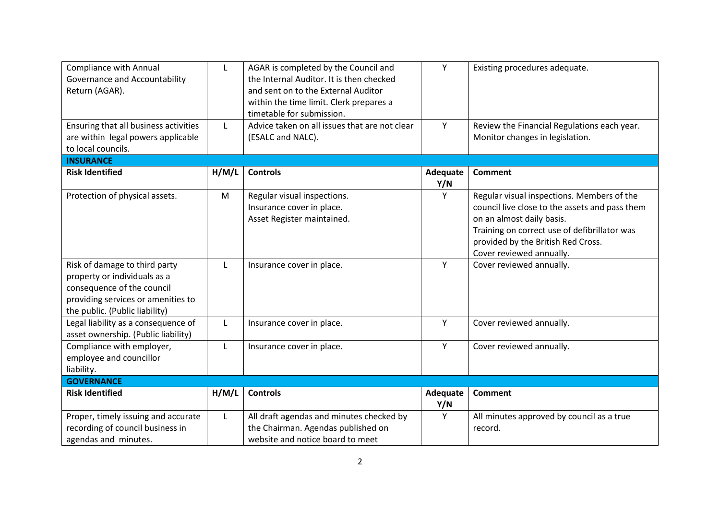| <b>Compliance with Annual</b>         | L     | AGAR is completed by the Council and          | Y        | Existing procedures adequate.                  |
|---------------------------------------|-------|-----------------------------------------------|----------|------------------------------------------------|
| Governance and Accountability         |       | the Internal Auditor. It is then checked      |          |                                                |
| Return (AGAR).                        |       | and sent on to the External Auditor           |          |                                                |
|                                       |       | within the time limit. Clerk prepares a       |          |                                                |
|                                       |       | timetable for submission.                     |          |                                                |
| Ensuring that all business activities | L     | Advice taken on all issues that are not clear | Y        | Review the Financial Regulations each year.    |
| are within legal powers applicable    |       | (ESALC and NALC).                             |          | Monitor changes in legislation.                |
| to local councils.                    |       |                                               |          |                                                |
| <b>INSURANCE</b>                      |       |                                               |          |                                                |
| <b>Risk Identified</b>                | H/M/L | <b>Controls</b>                               | Adequate | <b>Comment</b>                                 |
|                                       |       |                                               | Y/N      |                                                |
| Protection of physical assets.        | M     | Regular visual inspections.                   | Υ        | Regular visual inspections. Members of the     |
|                                       |       | Insurance cover in place.                     |          | council live close to the assets and pass them |
|                                       |       | Asset Register maintained.                    |          | on an almost daily basis.                      |
|                                       |       |                                               |          | Training on correct use of defibrillator was   |
|                                       |       |                                               |          | provided by the British Red Cross.             |
|                                       |       |                                               |          | Cover reviewed annually.                       |
| Risk of damage to third party         | L     | Insurance cover in place.                     | Y        | Cover reviewed annually.                       |
| property or individuals as a          |       |                                               |          |                                                |
| consequence of the council            |       |                                               |          |                                                |
| providing services or amenities to    |       |                                               |          |                                                |
| the public. (Public liability)        |       |                                               |          |                                                |
| Legal liability as a consequence of   | L     | Insurance cover in place.                     | Y        | Cover reviewed annually.                       |
| asset ownership. (Public liability)   |       |                                               |          |                                                |
| Compliance with employer,             | L     | Insurance cover in place.                     | Y        | Cover reviewed annually.                       |
| employee and councillor               |       |                                               |          |                                                |
| liability.                            |       |                                               |          |                                                |
| <b>GOVERNANCE</b>                     |       |                                               |          |                                                |
| <b>Risk Identified</b>                | H/M/L | <b>Controls</b>                               | Adequate | <b>Comment</b>                                 |
|                                       |       |                                               | Y/N      |                                                |
| Proper, timely issuing and accurate   | L     | All draft agendas and minutes checked by      | Y        | All minutes approved by council as a true      |
| recording of council business in      |       | the Chairman. Agendas published on            |          | record.                                        |
| agendas and minutes.                  |       | website and notice board to meet              |          |                                                |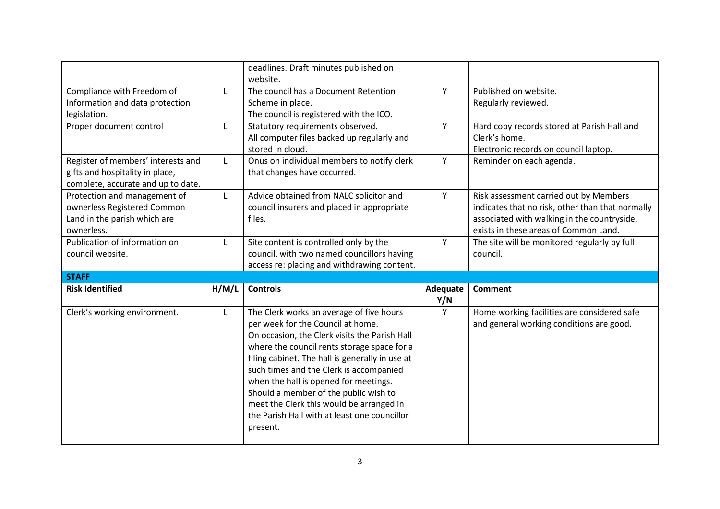|                                    |              | deadlines. Draft minutes published on<br>website. |                 |                                                  |
|------------------------------------|--------------|---------------------------------------------------|-----------------|--------------------------------------------------|
| Compliance with Freedom of         | $\mathsf{L}$ | The council has a Document Retention              | Y               | Published on website.                            |
| Information and data protection    |              | Scheme in place.                                  |                 | Regularly reviewed.                              |
| legislation.                       |              | The council is registered with the ICO.           |                 |                                                  |
| Proper document control            | L            | Statutory requirements observed.                  | Y               | Hard copy records stored at Parish Hall and      |
|                                    |              | All computer files backed up regularly and        |                 | Clerk's home.                                    |
|                                    |              | stored in cloud.                                  |                 | Electronic records on council laptop.            |
| Register of members' interests and | L            | Onus on individual members to notify clerk        | Y               | Reminder on each agenda.                         |
| gifts and hospitality in place,    |              | that changes have occurred.                       |                 |                                                  |
| complete, accurate and up to date. |              |                                                   |                 |                                                  |
| Protection and management of       | L            | Advice obtained from NALC solicitor and           | Y               | Risk assessment carried out by Members           |
| ownerless Registered Common        |              | council insurers and placed in appropriate        |                 | indicates that no risk, other than that normally |
| Land in the parish which are       |              | files.                                            |                 | associated with walking in the countryside,      |
| ownerless.                         |              |                                                   |                 | exists in these areas of Common Land.            |
| Publication of information on      | L            | Site content is controlled only by the            | Y               | The site will be monitored regularly by full     |
| council website.                   |              | council, with two named councillors having        |                 | council.                                         |
|                                    |              | access re: placing and withdrawing content.       |                 |                                                  |
|                                    |              |                                                   |                 |                                                  |
| <b>STAFF</b>                       |              |                                                   |                 |                                                  |
| <b>Risk Identified</b>             | H/M/L        | <b>Controls</b>                                   | Adequate<br>Y/N | <b>Comment</b>                                   |
| Clerk's working environment.       | L            | The Clerk works an average of five hours          | Y               | Home working facilities are considered safe      |
|                                    |              | per week for the Council at home.                 |                 | and general working conditions are good.         |
|                                    |              | On occasion, the Clerk visits the Parish Hall     |                 |                                                  |
|                                    |              | where the council rents storage space for a       |                 |                                                  |
|                                    |              | filing cabinet. The hall is generally in use at   |                 |                                                  |
|                                    |              | such times and the Clerk is accompanied           |                 |                                                  |
|                                    |              | when the hall is opened for meetings.             |                 |                                                  |
|                                    |              | Should a member of the public wish to             |                 |                                                  |
|                                    |              | meet the Clerk this would be arranged in          |                 |                                                  |
|                                    |              | the Parish Hall with at least one councillor      |                 |                                                  |
|                                    |              | present.                                          |                 |                                                  |